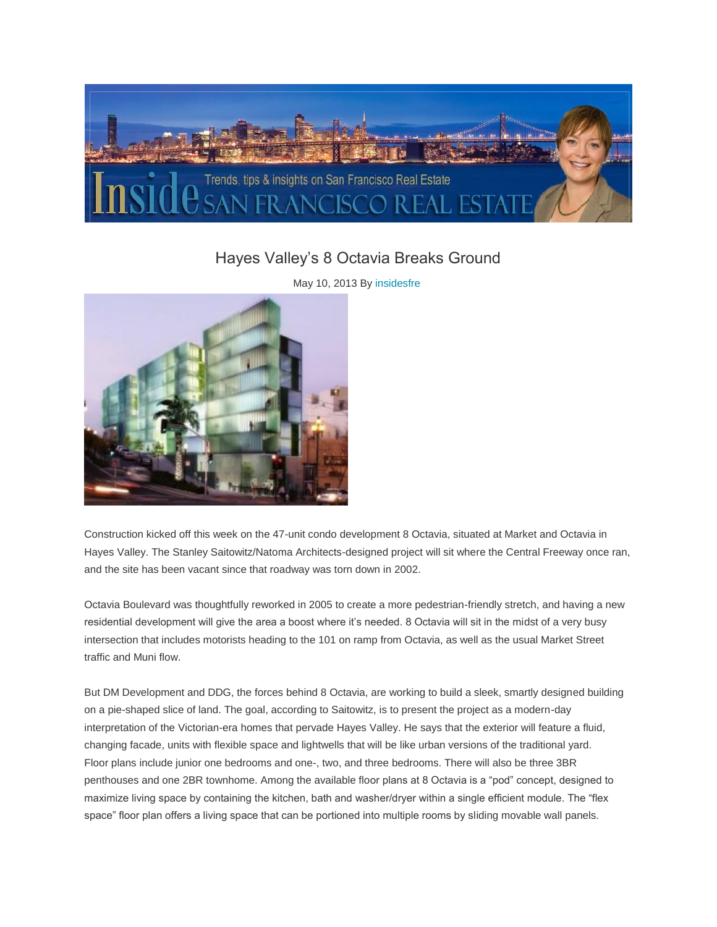

## [Hayes Valley's 8 Octavia Breaks Ground](http://www.insidesfre.com/hayes-valleys-8-octavia-breaks-ground/)

May 10, 2013 By [insidesfre](http://www.insidesfre.com/author/admin/)



Construction kicked off this week on the 47-unit condo development 8 Octavia, situated at Market and Octavia in Hayes Valley. The Stanley Saitowitz/Natoma Architects-designed project will sit where the Central Freeway once ran, and the site has been vacant since that roadway was torn down in 2002.

Octavia Boulevard was thoughtfully reworked in 2005 to create a more pedestrian-friendly stretch, and having a new residential development will give the area a boost where it's needed. 8 Octavia will sit in the midst of a very busy intersection that includes motorists heading to the 101 on ramp from Octavia, as well as the usual Market Street traffic and Muni flow.

But DM Development and DDG, the forces behind 8 Octavia, are working to build a sleek, smartly designed building on a pie-shaped slice of land. The goal, according to Saitowitz, is to present the project as a modern-day interpretation of the Victorian-era homes that pervade Hayes Valley. He says that the exterior will feature a fluid, changing facade, units with flexible space and lightwells that will be like urban versions of the traditional yard. Floor plans include junior one bedrooms and one-, two, and three bedrooms. There will also be three 3BR penthouses and one 2BR townhome. Among the available floor plans at 8 Octavia is a "pod" concept, designed to maximize living space by containing the kitchen, bath and washer/dryer within a single efficient module. The "flex space" floor plan offers a living space that can be portioned into multiple rooms by sliding movable wall panels.